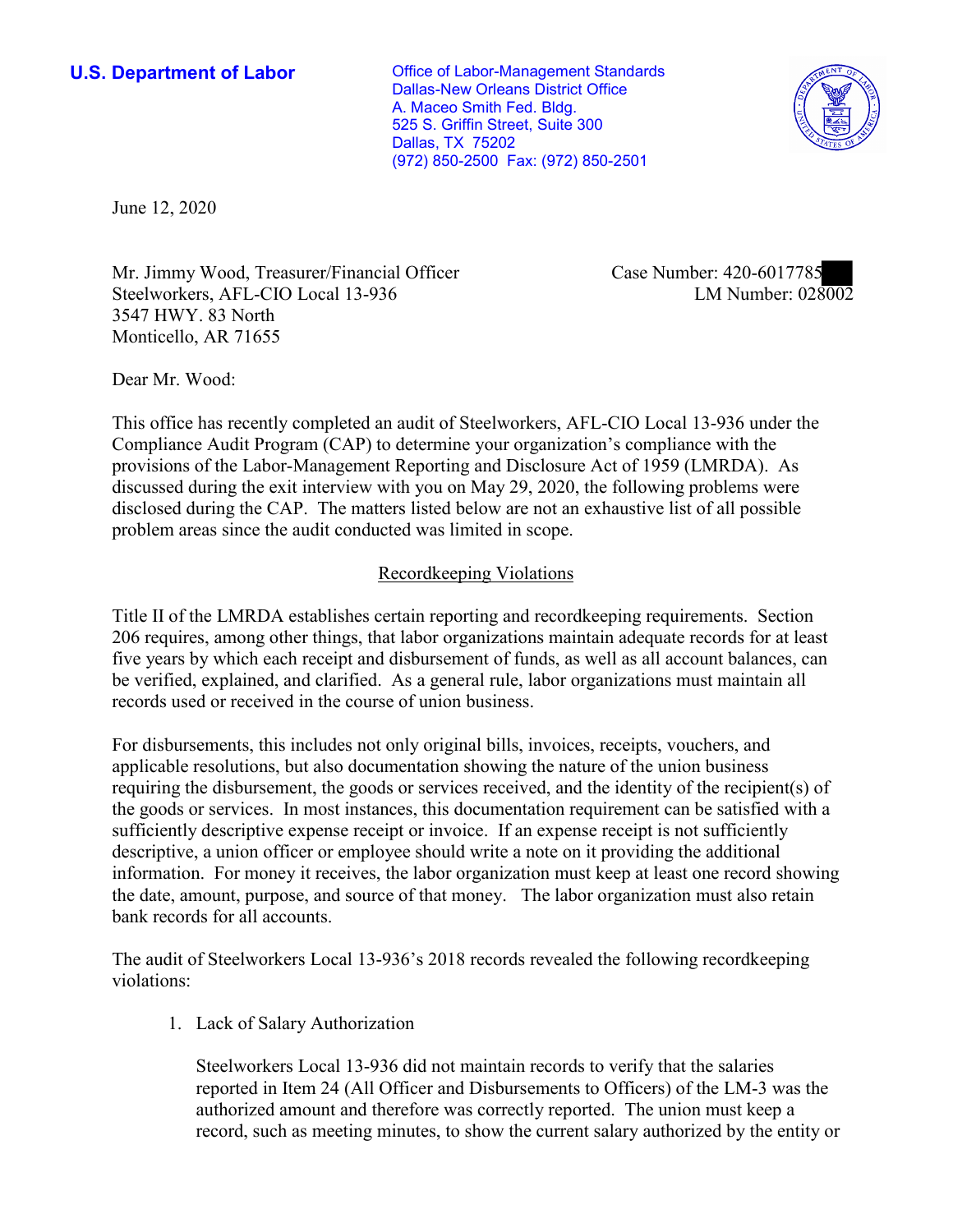**U.S. Department of Labor Conservative Conservative Conservative Conservative U.S.** Department of Labor Dallas-New Orleans District Office A. Maceo Smith Fed. Bldg. 525 S. Griffin Street, Suite 300 Dallas, TX 75202 (972) 850-2500 Fax: (972) 850-2501



June 12, 2020

Mr. Jimmy Wood, Treasurer/Financial Officer Steelworkers, AFL-CIO Local 13-936 3547 HWY. 83 North Monticello, AR 71655

Case Number: 420-6017785<br>LM Number: 028002

Dear Mr. Wood:

 This office has recently completed an audit of Steelworkers, AFL-CIO Local 13-936 under the Compliance Audit Program (CAP) to determine your organization's compliance with the provisions of the Labor-Management Reporting and Disclosure Act of 1959 (LMRDA). As discussed during the exit interview with you on May 29, 2020, the following problems were disclosed during the CAP. The matters listed below are not an exhaustive list of all possible problem areas since the audit conducted was limited in scope.

## Recordkeeping Violations

 Title II of the LMRDA establishes certain reporting and recordkeeping requirements. Section 206 requires, among other things, that labor organizations maintain adequate records for at least be verified, explained, and clarified. As a general rule, labor organizations must maintain all five years by which each receipt and disbursement of funds, as well as all account balances, can records used or received in the course of union business.

For disbursements, this includes not only original bills, invoices, receipts, vouchers, and applicable resolutions, but also documentation showing the nature of the union business requiring the disbursement, the goods or services received, and the identity of the recipient(s) of the goods or services. In most instances, this documentation requirement can be satisfied with a sufficiently descriptive expense receipt or invoice. If an expense receipt is not sufficiently descriptive, a union officer or employee should write a note on it providing the additional information. For money it receives, the labor organization must keep at least one record showing the date, amount, purpose, and source of that money. The labor organization must also retain bank records for all accounts.

The audit of Steelworkers Local 13-936's 2018 records revealed the following recordkeeping violations:

1. Lack of Salary Authorization

Steelworkers Local 13-936 did not maintain records to verify that the salaries reported in Item 24 (All Officer and Disbursements to Officers) of the LM-3 was the authorized amount and therefore was correctly reported. The union must keep a record, such as meeting minutes, to show the current salary authorized by the entity or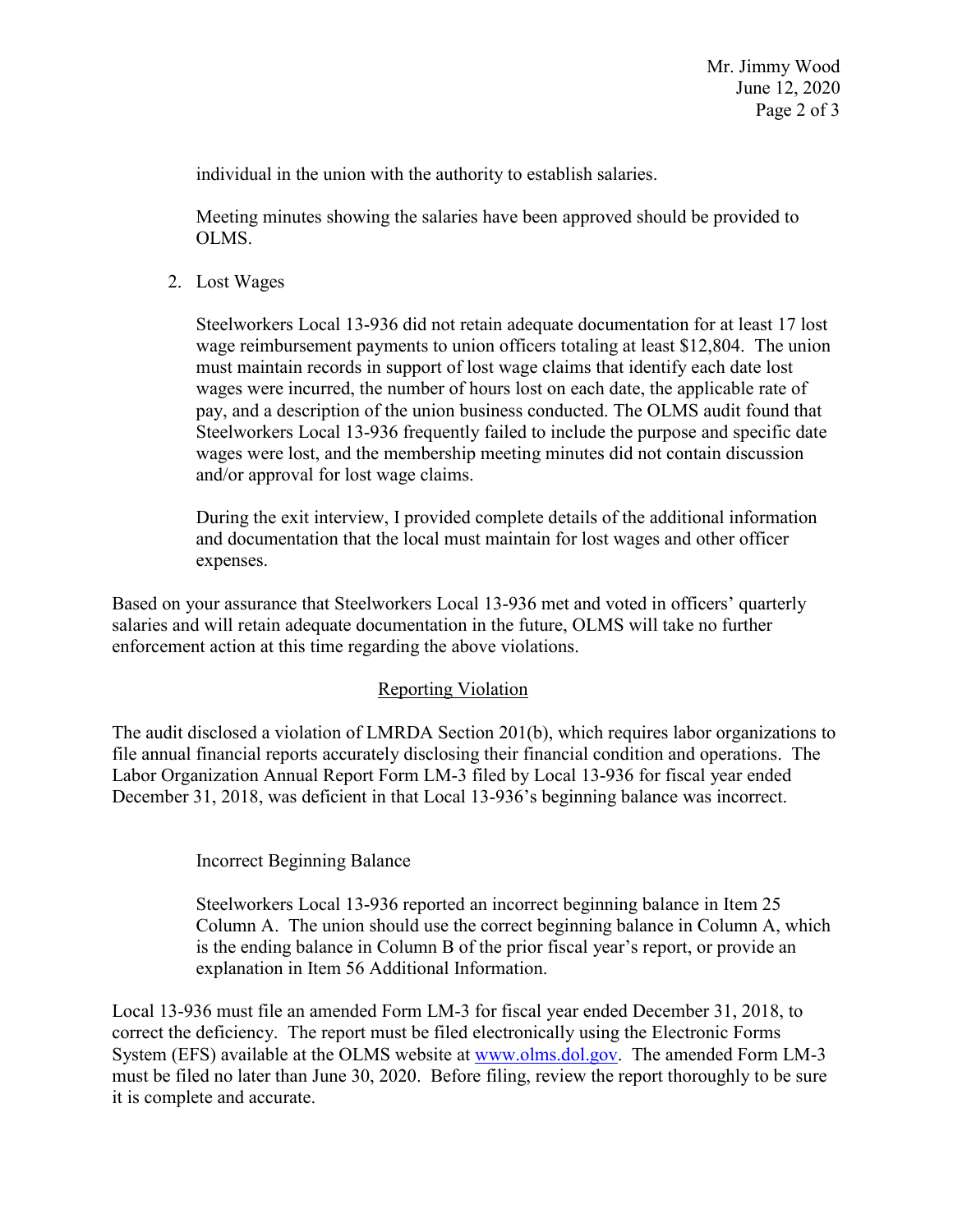individual in the union with the authority to establish salaries.

Meeting minutes showing the salaries have been approved should be provided to OLMS.

2. Lost Wages

 wages were incurred, the number of hours lost on each date, the applicable rate of Steelworkers Local 13-936 did not retain adequate documentation for at least 17 lost wage reimbursement payments to union officers totaling at least \$12,804. The union must maintain records in support of lost wage claims that identify each date lost pay, and a description of the union business conducted. The OLMS audit found that Steelworkers Local 13-936 frequently failed to include the purpose and specific date wages were lost, and the membership meeting minutes did not contain discussion and/or approval for lost wage claims.

 During the exit interview, I provided complete details of the additional information and documentation that the local must maintain for lost wages and other officer expenses.

Based on your assurance that Steelworkers Local 13-936 met and voted in officers' quarterly salaries and will retain adequate documentation in the future, OLMS will take no further enforcement action at this time regarding the above violations.

## Reporting Violation

 Labor Organization Annual Report Form LM-3 filed by Local 13-936 for fiscal year ended The audit disclosed a violation of LMRDA Section 201(b), which requires labor organizations to file annual financial reports accurately disclosing their financial condition and operations. The December 31, 2018, was deficient in that Local 13-936's beginning balance was incorrect.

Incorrect Beginning Balance

 is the ending balance in Column B of the prior fiscal year's report, or provide an Steelworkers Local 13-936 reported an incorrect beginning balance in Item 25 Column A. The union should use the correct beginning balance in Column A, which explanation in Item 56 Additional Information.

 it is complete and accurate. Local 13-936 must file an amended Form LM-3 for fiscal year ended December 31, 2018, to correct the deficiency. The report must be filed electronically using the Electronic Forms System (EFS) available at the OLMS website at [www.olms.dol.gov.](www.olms.dol.gov) The amended Form LM-3 must be filed no later than June 30, 2020. Before filing, review the report thoroughly to be sure